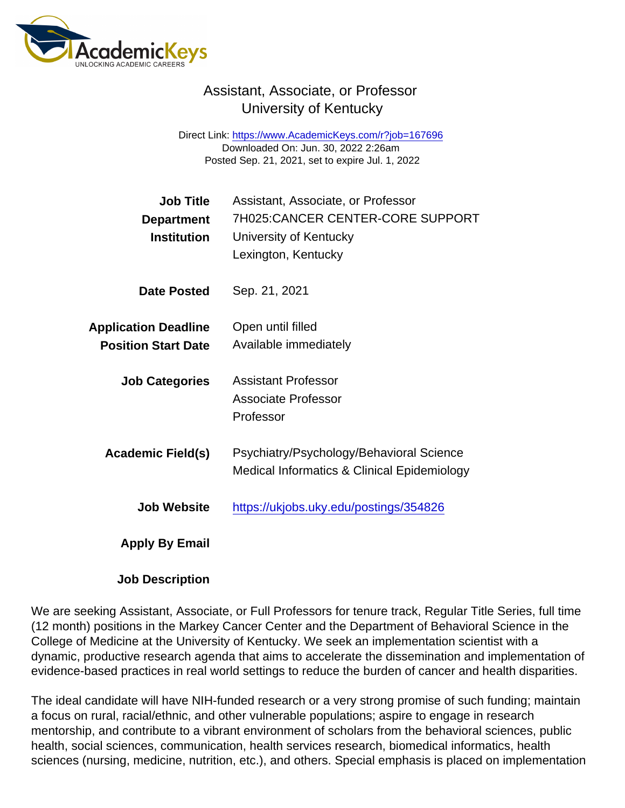## Assistant, Associate, or Professor University of Kentucky

Direct Link: <https://www.AcademicKeys.com/r?job=167696> Downloaded On: Jun. 30, 2022 2:26am Posted Sep. 21, 2021, set to expire Jul. 1, 2022

| <b>Job Title</b><br>Department<br>Institution             | Assistant, Associate, or Professor<br>7H025:CANCER CENTER-CORE SUPPORT<br>University of Kentucky<br>Lexington, Kentucky |
|-----------------------------------------------------------|-------------------------------------------------------------------------------------------------------------------------|
| Date Posted                                               | Sep. 21, 2021                                                                                                           |
| <b>Application Deadline</b><br><b>Position Start Date</b> | Open until filled<br>Available immediately                                                                              |
| <b>Job Categories</b>                                     | <b>Assistant Professor</b><br>Associate Professor<br>Professor                                                          |
| Academic Field(s)                                         | Psychiatry/Psychology/Behavioral Science<br>Medical Informatics & Clinical Epidemiology                                 |
| Job Website                                               | https://ukjobs.uky.edu/postings/354826                                                                                  |
| Apply By Email                                            |                                                                                                                         |

Job Description

We are seeking Assistant, Associate, or Full Professors for tenure track, Regular Title Series, full time (12 month) positions in the Markey Cancer Center and the Department of Behavioral Science in the College of Medicine at the University of Kentucky. We seek an implementation scientist with a dynamic, productive research agenda that aims to accelerate the dissemination and implementation of evidence-based practices in real world settings to reduce the burden of cancer and health disparities.

The ideal candidate will have NIH-funded research or a very strong promise of such funding; maintain a focus on rural, racial/ethnic, and other vulnerable populations; aspire to engage in research mentorship, and contribute to a vibrant environment of scholars from the behavioral sciences, public health, social sciences, communication, health services research, biomedical informatics, health sciences (nursing, medicine, nutrition, etc.), and others. Special emphasis is placed on implementation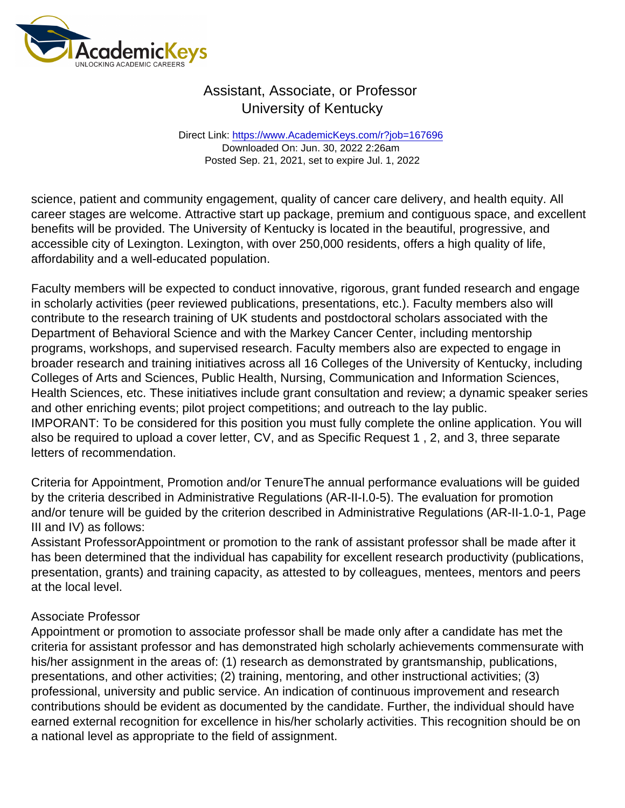## Assistant, Associate, or Professor University of Kentucky

Direct Link: <https://www.AcademicKeys.com/r?job=167696> Downloaded On: Jun. 30, 2022 2:26am Posted Sep. 21, 2021, set to expire Jul. 1, 2022

science, patient and community engagement, quality of cancer care delivery, and health equity. All career stages are welcome. Attractive start up package, premium and contiguous space, and excellent benefits will be provided. The University of Kentucky is located in the beautiful, progressive, and accessible city of Lexington. Lexington, with over 250,000 residents, offers a high quality of life, affordability and a well-educated population.

Faculty members will be expected to conduct innovative, rigorous, grant funded research and engage in scholarly activities (peer reviewed publications, presentations, etc.). Faculty members also will contribute to the research training of UK students and postdoctoral scholars associated with the Department of Behavioral Science and with the Markey Cancer Center, including mentorship programs, workshops, and supervised research. Faculty members also are expected to engage in broader research and training initiatives across all 16 Colleges of the University of Kentucky, including Colleges of Arts and Sciences, Public Health, Nursing, Communication and Information Sciences, Health Sciences, etc. These initiatives include grant consultation and review; a dynamic speaker series and other enriching events; pilot project competitions; and outreach to the lay public. IMPORANT: To be considered for this position you must fully complete the online application. You will also be required to upload a cover letter, CV, and as Specific Request 1 , 2, and 3, three separate letters of recommendation.

Criteria for Appointment, Promotion and/or TenureThe annual performance evaluations will be guided by the criteria described in Administrative Regulations (AR-II-I.0-5). The evaluation for promotion and/or tenure will be guided by the criterion described in Administrative Regulations (AR-II-1.0-1, Page III and IV) as follows:

Assistant ProfessorAppointment or promotion to the rank of assistant professor shall be made after it has been determined that the individual has capability for excellent research productivity (publications, presentation, grants) and training capacity, as attested to by colleagues, mentees, mentors and peers at the local level.

## Associate Professor

Appointment or promotion to associate professor shall be made only after a candidate has met the criteria for assistant professor and has demonstrated high scholarly achievements commensurate with his/her assignment in the areas of: (1) research as demonstrated by grantsmanship, publications, presentations, and other activities; (2) training, mentoring, and other instructional activities; (3) professional, university and public service. An indication of continuous improvement and research contributions should be evident as documented by the candidate. Further, the individual should have earned external recognition for excellence in his/her scholarly activities. This recognition should be on a national level as appropriate to the field of assignment.